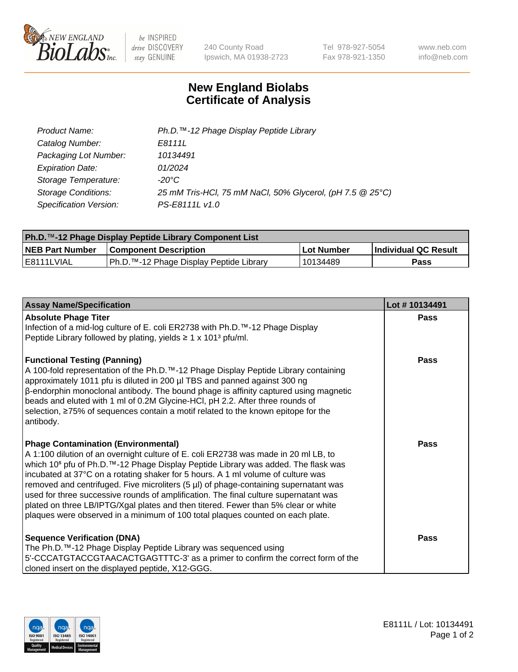

 $be$  INSPIRED drive DISCOVERY stay GENUINE

240 County Road Ipswich, MA 01938-2723 Tel 978-927-5054 Fax 978-921-1350 www.neb.com info@neb.com

## **New England Biolabs Certificate of Analysis**

| Product Name:              | Ph.D.™-12 Phage Display Peptide Library                   |
|----------------------------|-----------------------------------------------------------|
| Catalog Number:            | E8111L                                                    |
| Packaging Lot Number:      | 10134491                                                  |
| <b>Expiration Date:</b>    | 01/2024                                                   |
| Storage Temperature:       | -20°C                                                     |
| <b>Storage Conditions:</b> | 25 mM Tris-HCl, 75 mM NaCl, 50% Glycerol, (pH 7.5 @ 25°C) |
| Specification Version:     | PS-E8111L v1.0                                            |

| <b>Ph.D.</b> ™-12 Phage Display Peptide Library Component List |                                          |            |                      |
|----------------------------------------------------------------|------------------------------------------|------------|----------------------|
| <b>NEB Part Number</b>                                         | <b>Component Description</b>             | Lot Number | Individual QC Result |
| IE8111LVIAL                                                    | IPh.D.™-12 Phage Display Peptide Library | 10134489   | Pass                 |

| <b>Assay Name/Specification</b>                                                                                                                                                                                                                                                                                                                                                                                                                                                                                                                                                                                                                                                             | Lot #10134491 |
|---------------------------------------------------------------------------------------------------------------------------------------------------------------------------------------------------------------------------------------------------------------------------------------------------------------------------------------------------------------------------------------------------------------------------------------------------------------------------------------------------------------------------------------------------------------------------------------------------------------------------------------------------------------------------------------------|---------------|
| <b>Absolute Phage Titer</b><br>Infection of a mid-log culture of E. coli ER2738 with Ph.D.™-12 Phage Display<br>Peptide Library followed by plating, yields $\geq 1 \times 101^3$ pfu/ml.                                                                                                                                                                                                                                                                                                                                                                                                                                                                                                   | <b>Pass</b>   |
| <b>Functional Testing (Panning)</b><br>A 100-fold representation of the Ph.D.™-12 Phage Display Peptide Library containing<br>approximately 1011 pfu is diluted in 200 µl TBS and panned against 300 ng<br>$\beta$ -endorphin monoclonal antibody. The bound phage is affinity captured using magnetic<br>beads and eluted with 1 ml of 0.2M Glycine-HCl, pH 2.2. After three rounds of<br>selection, ≥75% of sequences contain a motif related to the known epitope for the<br>antibody.                                                                                                                                                                                                   | Pass          |
| <b>Phage Contamination (Environmental)</b><br>A 1:100 dilution of an overnight culture of E. coli ER2738 was made in 20 ml LB, to<br>which 10 <sup>5</sup> pfu of Ph.D. <sup>™</sup> -12 Phage Display Peptide Library was added. The flask was<br>incubated at 37°C on a rotating shaker for 5 hours. A 1 ml volume of culture was<br>removed and centrifuged. Five microliters (5 µl) of phage-containing supernatant was<br>used for three successive rounds of amplification. The final culture supernatant was<br>plated on three LB/IPTG/Xgal plates and then titered. Fewer than 5% clear or white<br>plaques were observed in a minimum of 100 total plaques counted on each plate. | <b>Pass</b>   |
| <b>Sequence Verification (DNA)</b><br>The Ph.D. <sup>™</sup> -12 Phage Display Peptide Library was sequenced using<br>5'-CCCATGTACCGTAACACTGAGTTTC-3' as a primer to confirm the correct form of the<br>cloned insert on the displayed peptide, X12-GGG.                                                                                                                                                                                                                                                                                                                                                                                                                                    | Pass          |